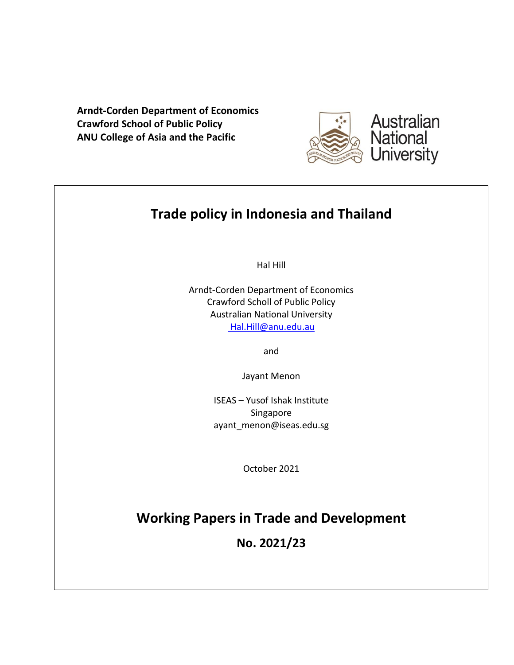**Arndt-Corden Department of Economics Crawford School of Public Policy ANU College of Asia and the Pacific**



# **Trade policy in Indonesia and Thailand**

Hal Hill

Arndt-Corden Department of Economics Crawford Scholl of Public Policy Australian National University [Hal.Hill@anu.edu.au](mailto:%20Hal.Hill@anu.edu.au)

and

Jayant Menon

ISEAS – Yusof Ishak Institute Singapore ayant\_menon@iseas.edu.sg

October 2021

# **Working Papers in Trade and Development**

**No. 2021/23**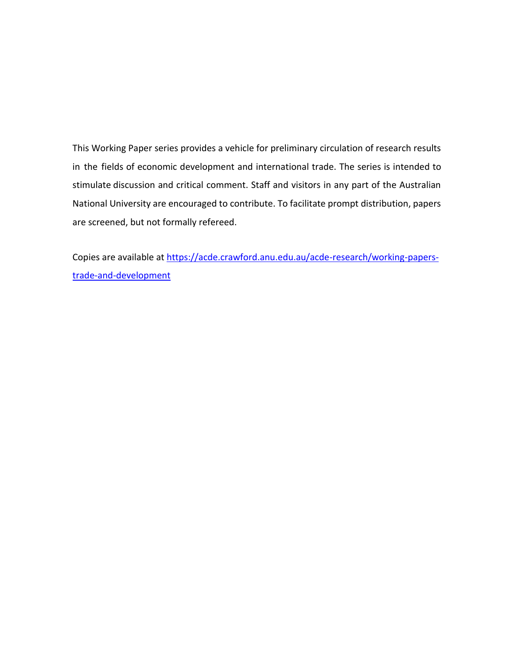This Working Paper series provides a vehicle for preliminary circulation of research results in the fields of economic development and international trade. The series is intended to stimulate discussion and critical comment. Staff and visitors in any part of the Australian National University are encouraged to contribute. To facilitate prompt distribution, papers are screened, but not formally refereed.

Copies are available at [https://acde.crawford.anu.edu.au/acde-research/working-papers](https://acde.crawford.anu.edu.au/acde-research/working-papers-trade-and-development)[trade-and-development](https://acde.crawford.anu.edu.au/acde-research/working-papers-trade-and-development)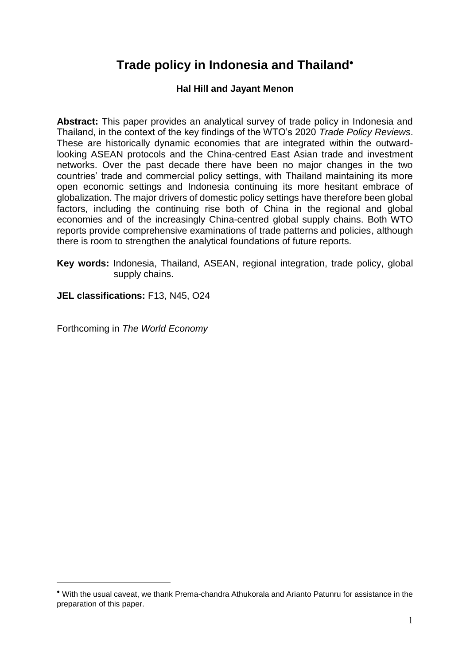# **Trade policy in Indonesia and Thailand**

## **Hal Hill and Jayant Menon**

**Abstract:** This paper provides an analytical survey of trade policy in Indonesia and Thailand, in the context of the key findings of the WTO's 2020 *Trade Policy Reviews*. These are historically dynamic economies that are integrated within the outwardlooking ASEAN protocols and the China-centred East Asian trade and investment networks. Over the past decade there have been no major changes in the two countries' trade and commercial policy settings, with Thailand maintaining its more open economic settings and Indonesia continuing its more hesitant embrace of globalization. The major drivers of domestic policy settings have therefore been global factors, including the continuing rise both of China in the regional and global economies and of the increasingly China-centred global supply chains. Both WTO reports provide comprehensive examinations of trade patterns and policies, although there is room to strengthen the analytical foundations of future reports.

**Key words:** Indonesia, Thailand, ASEAN, regional integration, trade policy, global supply chains.

**JEL classifications:** F13, N45, O24

Forthcoming in *The World Economy*

1

With the usual caveat, we thank Prema-chandra Athukorala and Arianto Patunru for assistance in the preparation of this paper.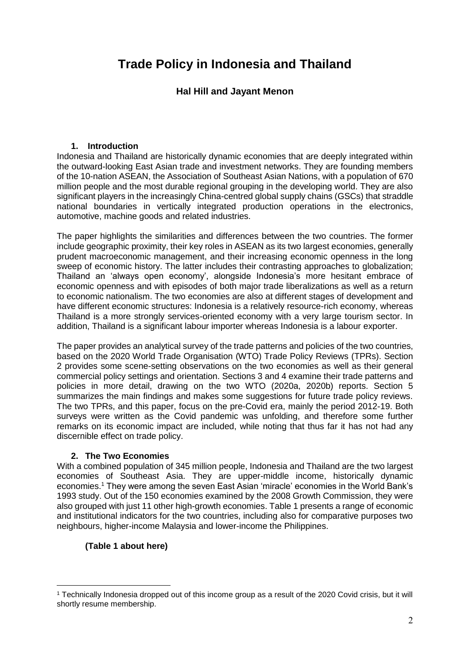## **Trade Policy in Indonesia and Thailand**

## **Hal Hill and Jayant Menon**

#### **1. Introduction**

Indonesia and Thailand are historically dynamic economies that are deeply integrated within the outward-looking East Asian trade and investment networks. They are founding members of the 10-nation ASEAN, the Association of Southeast Asian Nations, with a population of 670 million people and the most durable regional grouping in the developing world. They are also significant players in the increasingly China-centred global supply chains (GSCs) that straddle national boundaries in vertically integrated production operations in the electronics, automotive, machine goods and related industries.

The paper highlights the similarities and differences between the two countries. The former include geographic proximity, their key roles in ASEAN as its two largest economies, generally prudent macroeconomic management, and their increasing economic openness in the long sweep of economic history. The latter includes their contrasting approaches to globalization; Thailand an 'always open economy', alongside Indonesia's more hesitant embrace of economic openness and with episodes of both major trade liberalizations as well as a return to economic nationalism. The two economies are also at different stages of development and have different economic structures: Indonesia is a relatively resource-rich economy, whereas Thailand is a more strongly services-oriented economy with a very large tourism sector. In addition, Thailand is a significant labour importer whereas Indonesia is a labour exporter.

The paper provides an analytical survey of the trade patterns and policies of the two countries, based on the 2020 World Trade Organisation (WTO) Trade Policy Reviews (TPRs). Section 2 provides some scene-setting observations on the two economies as well as their general commercial policy settings and orientation. Sections 3 and 4 examine their trade patterns and policies in more detail, drawing on the two WTO (2020a, 2020b) reports. Section 5 summarizes the main findings and makes some suggestions for future trade policy reviews. The two TPRs, and this paper, focus on the pre-Covid era, mainly the period 2012-19. Both surveys were written as the Covid pandemic was unfolding, and therefore some further remarks on its economic impact are included, while noting that thus far it has not had any discernible effect on trade policy.

## **2. The Two Economies**

With a combined population of 345 million people, Indonesia and Thailand are the two largest economies of Southeast Asia. They are upper-middle income, historically dynamic economies. <sup>1</sup> They were among the seven East Asian 'miracle' economies in the World Bank's 1993 study. Out of the 150 economies examined by the 2008 Growth Commission, they were also grouped with just 11 other high-growth economies. Table 1 presents a range of economic and institutional indicators for the two countries, including also for comparative purposes two neighbours, higher-income Malaysia and lower-income the Philippines.

## **(Table 1 about here)**

1

<sup>1</sup> Technically Indonesia dropped out of this income group as a result of the 2020 Covid crisis, but it will shortly resume membership.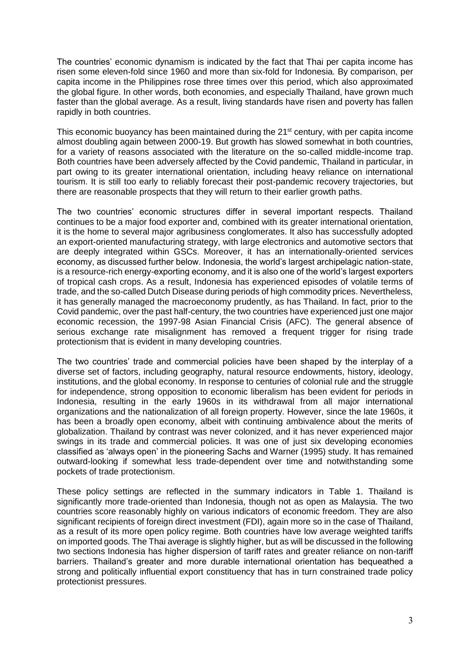The countries' economic dynamism is indicated by the fact that Thai per capita income has risen some eleven-fold since 1960 and more than six-fold for Indonesia. By comparison, per capita income in the Philippines rose three times over this period, which also approximated the global figure. In other words, both economies, and especially Thailand, have grown much faster than the global average. As a result, living standards have risen and poverty has fallen rapidly in both countries.

This economic buoyancy has been maintained during the  $21<sup>st</sup>$  century, with per capita income almost doubling again between 2000-19. But growth has slowed somewhat in both countries, for a variety of reasons associated with the literature on the so-called middle-income trap. Both countries have been adversely affected by the Covid pandemic, Thailand in particular, in part owing to its greater international orientation, including heavy reliance on international tourism. It is still too early to reliably forecast their post-pandemic recovery trajectories, but there are reasonable prospects that they will return to their earlier growth paths.

The two countries' economic structures differ in several important respects. Thailand continues to be a major food exporter and, combined with its greater international orientation, it is the home to several major agribusiness conglomerates. It also has successfully adopted an export-oriented manufacturing strategy, with large electronics and automotive sectors that are deeply integrated within GSCs. Moreover, it has an internationally-oriented services economy, as discussed further below. Indonesia, the world's largest archipelagic nation-state, is a resource-rich energy-exporting economy, and it is also one of the world's largest exporters of tropical cash crops. As a result, Indonesia has experienced episodes of volatile terms of trade, and the so-called Dutch Disease during periods of high commodity prices. Nevertheless, it has generally managed the macroeconomy prudently, as has Thailand. In fact, prior to the Covid pandemic, over the past half-century, the two countries have experienced just one major economic recession, the 1997-98 Asian Financial Crisis (AFC). The general absence of serious exchange rate misalignment has removed a frequent trigger for rising trade protectionism that is evident in many developing countries.

The two countries' trade and commercial policies have been shaped by the interplay of a diverse set of factors, including geography, natural resource endowments, history, ideology, institutions, and the global economy. In response to centuries of colonial rule and the struggle for independence, strong opposition to economic liberalism has been evident for periods in Indonesia, resulting in the early 1960s in its withdrawal from all major international organizations and the nationalization of all foreign property. However, since the late 1960s, it has been a broadly open economy, albeit with continuing ambivalence about the merits of globalization. Thailand by contrast was never colonized, and it has never experienced major swings in its trade and commercial policies. It was one of just six developing economies classified as 'always open' in the pioneering Sachs and Warner (1995) study. It has remained outward-looking if somewhat less trade-dependent over time and notwithstanding some pockets of trade protectionism.

These policy settings are reflected in the summary indicators in Table 1. Thailand is significantly more trade-oriented than Indonesia, though not as open as Malaysia. The two countries score reasonably highly on various indicators of economic freedom. They are also significant recipients of foreign direct investment (FDI), again more so in the case of Thailand, as a result of its more open policy regime. Both countries have low average weighted tariffs on imported goods. The Thai average is slightly higher, but as will be discussed in the following two sections Indonesia has higher dispersion of tariff rates and greater reliance on non-tariff barriers. Thailand's greater and more durable international orientation has bequeathed a strong and politically influential export constituency that has in turn constrained trade policy protectionist pressures.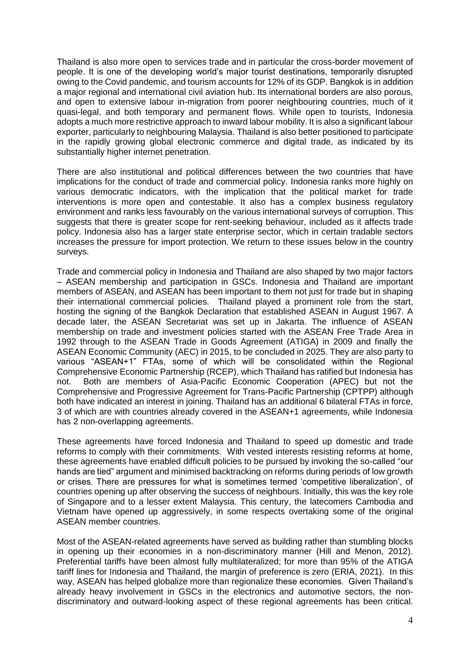Thailand is also more open to services trade and in particular the cross-border movement of people. It is one of the developing world's major tourist destinations, temporarily disrupted owing to the Covid pandemic, and tourism accounts for 12% of its GDP. Bangkok is in addition a major regional and international civil aviation hub. Its international borders are also porous, and open to extensive labour in-migration from poorer neighbouring countries, much of it quasi-legal, and both temporary and permanent flows. While open to tourists, Indonesia adopts a much more restrictive approach to inward labour mobility. It is also a significant labour exporter, particularly to neighbouring Malaysia. Thailand is also better positioned to participate in the rapidly growing global electronic commerce and digital trade, as indicated by its substantially higher internet penetration.

There are also institutional and political differences between the two countries that have implications for the conduct of trade and commercial policy. Indonesia ranks more highly on various democratic indicators, with the implication that the political market for trade interventions is more open and contestable. It also has a complex business regulatory environment and ranks less favourably on the various international surveys of corruption. This suggests that there is greater scope for rent-seeking behaviour, included as it affects trade policy. Indonesia also has a larger state enterprise sector, which in certain tradable sectors increases the pressure for import protection. We return to these issues below in the country surveys.

Trade and commercial policy in Indonesia and Thailand are also shaped by two major factors – ASEAN membership and participation in GSCs. Indonesia and Thailand are important members of ASEAN, and ASEAN has been important to them not just for trade but in shaping their international commercial policies. Thailand played a prominent role from the start, hosting the signing of the Bangkok Declaration that established ASEAN in August 1967. A decade later, the ASEAN Secretariat was set up in Jakarta. The influence of ASEAN membership on trade and investment policies started with the ASEAN Free Trade Area in 1992 through to the ASEAN Trade in Goods Agreement (ATIGA) in 2009 and finally the ASEAN Economic Community (AEC) in 2015, to be concluded in 2025. They are also party to various "ASEAN+1" FTAs, some of which will be consolidated within the Regional Comprehensive Economic Partnership (RCEP), which Thailand has ratified but Indonesia has not. Both are members of Asia-Pacific Economic Cooperation (APEC) but not the Comprehensive and Progressive Agreement for Trans-Pacific Partnership (CPTPP) although both have indicated an interest in joining. Thailand has an additional 6 bilateral FTAs in force, 3 of which are with countries already covered in the ASEAN+1 agreements, while Indonesia has 2 non-overlapping agreements.

These agreements have forced Indonesia and Thailand to speed up domestic and trade reforms to comply with their commitments. With vested interests resisting reforms at home, these agreements have enabled difficult policies to be pursued by invoking the so-called "our hands are tied" argument and minimised backtracking on reforms during periods of low growth or crises. There are pressures for what is sometimes termed 'competitive liberalization', of countries opening up after observing the success of neighbours. Initially, this was the key role of Singapore and to a lesser extent Malaysia. This century, the latecomers Cambodia and Vietnam have opened up aggressively, in some respects overtaking some of the original ASEAN member countries.

Most of the ASEAN-related agreements have served as building rather than stumbling blocks in opening up their economies in a non-discriminatory manner (Hill and Menon, 2012). Preferential tariffs have been almost fully multilateralized; for more than 95% of the ATIGA tariff lines for Indonesia and Thailand, the margin of preference is zero (ERIA, 2021). In this way, ASEAN has helped globalize more than regionalize these economies. Given Thailand's already heavy involvement in GSCs in the electronics and automotive sectors, the nondiscriminatory and outward-looking aspect of these regional agreements has been critical.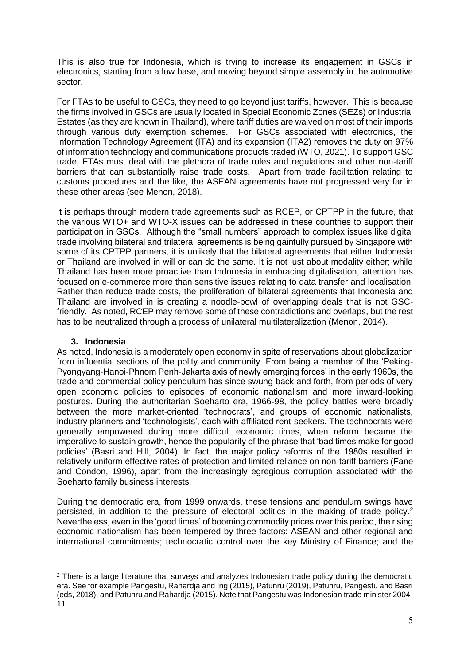This is also true for Indonesia, which is trying to increase its engagement in GSCs in electronics, starting from a low base, and moving beyond simple assembly in the automotive sector.

For FTAs to be useful to GSCs, they need to go beyond just tariffs, however. This is because the firms involved in GSCs are usually located in Special Economic Zones (SEZs) or Industrial Estates (as they are known in Thailand), where tariff duties are waived on most of their imports through various duty exemption schemes. For GSCs associated with electronics, the Information Technology Agreement (ITA) and its expansion (ITA2) removes the duty on 97% of information technology and communications products traded (WTO, 2021). To support GSC trade, FTAs must deal with the plethora of trade rules and regulations and other non-tariff barriers that can substantially raise trade costs. Apart from trade facilitation relating to customs procedures and the like, the ASEAN agreements have not progressed very far in these other areas (see Menon, 2018).

It is perhaps through modern trade agreements such as RCEP, or CPTPP in the future, that the various WTO+ and WTO-X issues can be addressed in these countries to support their participation in GSCs. Although the "small numbers" approach to complex issues like digital trade involving bilateral and trilateral agreements is being gainfully pursued by Singapore with some of its CPTPP partners, it is unlikely that the bilateral agreements that either Indonesia or Thailand are involved in will or can do the same. It is not just about modality either; while Thailand has been more proactive than Indonesia in embracing digitalisation, attention has focused on e-commerce more than sensitive issues relating to data transfer and localisation. Rather than reduce trade costs, the proliferation of bilateral agreements that Indonesia and Thailand are involved in is creating a noodle-bowl of overlapping deals that is not GSCfriendly. As noted, RCEP may remove some of these contradictions and overlaps, but the rest has to be neutralized through a process of unilateral multilateralization (Menon, 2014).

#### **3. Indonesia**

<u>.</u>

As noted, Indonesia is a moderately open economy in spite of reservations about globalization from influential sections of the polity and community. From being a member of the 'Peking-Pyongyang-Hanoi-Phnom Penh-Jakarta axis of newly emerging forces' in the early 1960s, the trade and commercial policy pendulum has since swung back and forth, from periods of very open economic policies to episodes of economic nationalism and more inward-looking postures. During the authoritarian Soeharto era, 1966-98, the policy battles were broadly between the more market-oriented 'technocrats', and groups of economic nationalists, industry planners and 'technologists', each with affiliated rent-seekers. The technocrats were generally empowered during more difficult economic times, when reform became the imperative to sustain growth, hence the popularity of the phrase that 'bad times make for good policies' (Basri and Hill, 2004). In fact, the major policy reforms of the 1980s resulted in relatively uniform effective rates of protection and limited reliance on non-tariff barriers (Fane and Condon, 1996), apart from the increasingly egregious corruption associated with the Soeharto family business interests.

During the democratic era, from 1999 onwards, these tensions and pendulum swings have persisted, in addition to the pressure of electoral politics in the making of trade policy.<sup>2</sup> Nevertheless, even in the 'good times' of booming commodity prices over this period, the rising economic nationalism has been tempered by three factors: ASEAN and other regional and international commitments; technocratic control over the key Ministry of Finance; and the

<sup>&</sup>lt;sup>2</sup> There is a large literature that surveys and analyzes Indonesian trade policy during the democratic era. See for example Pangestu, Rahardja and Ing (2015), Patunru (2019), Patunru, Pangestu and Basri (eds, 2018), and Patunru and Rahardja (2015). Note that Pangestu was Indonesian trade minister 2004- 11.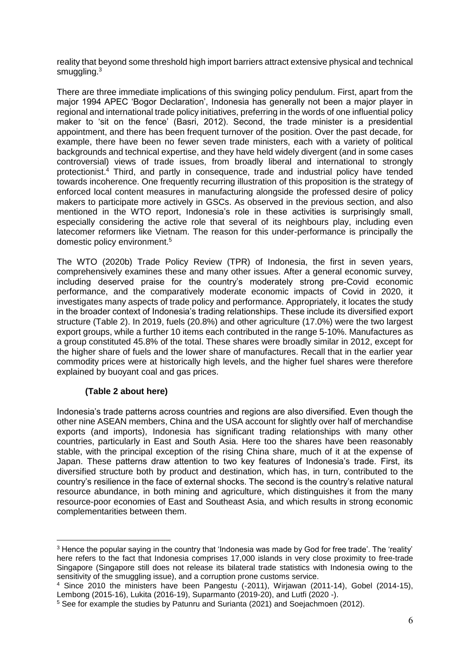reality that beyond some threshold high import barriers attract extensive physical and technical smuggling.<sup>3</sup>

There are three immediate implications of this swinging policy pendulum. First, apart from the major 1994 APEC 'Bogor Declaration', Indonesia has generally not been a major player in regional and international trade policy initiatives, preferring in the words of one influential policy maker to 'sit on the fence' (Basri, 2012). Second, the trade minister is a presidential appointment, and there has been frequent turnover of the position. Over the past decade, for example, there have been no fewer seven trade ministers, each with a variety of political backgrounds and technical expertise, and they have held widely divergent (and in some cases controversial) views of trade issues, from broadly liberal and international to strongly protectionist.<sup>4</sup> Third, and partly in consequence, trade and industrial policy have tended towards incoherence. One frequently recurring illustration of this proposition is the strategy of enforced local content measures in manufacturing alongside the professed desire of policy makers to participate more actively in GSCs. As observed in the previous section, and also mentioned in the WTO report, Indonesia's role in these activities is surprisingly small, especially considering the active role that several of its neighbours play, including even latecomer reformers like Vietnam. The reason for this under-performance is principally the domestic policy environment.<sup>5</sup>

The WTO (2020b) Trade Policy Review (TPR) of Indonesia, the first in seven years, comprehensively examines these and many other issues. After a general economic survey, including deserved praise for the country's moderately strong pre-Covid economic performance, and the comparatively moderate economic impacts of Covid in 2020, it investigates many aspects of trade policy and performance. Appropriately, it locates the study in the broader context of Indonesia's trading relationships. These include its diversified export structure (Table 2). In 2019, fuels (20.8%) and other agriculture (17.0%) were the two largest export groups, while a further 10 items each contributed in the range 5-10%. Manufactures as a group constituted 45.8% of the total. These shares were broadly similar in 2012, except for the higher share of fuels and the lower share of manufactures. Recall that in the earlier year commodity prices were at historically high levels, and the higher fuel shares were therefore explained by buoyant coal and gas prices.

#### **(Table 2 about here)**

1

Indonesia's trade patterns across countries and regions are also diversified. Even though the other nine ASEAN members, China and the USA account for slightly over half of merchandise exports (and imports), Indonesia has significant trading relationships with many other countries, particularly in East and South Asia. Here too the shares have been reasonably stable, with the principal exception of the rising China share, much of it at the expense of Japan. These patterns draw attention to two key features of Indonesia's trade. First, its diversified structure both by product and destination, which has, in turn, contributed to the country's resilience in the face of external shocks. The second is the country's relative natural resource abundance, in both mining and agriculture, which distinguishes it from the many resource-poor economies of East and Southeast Asia, and which results in strong economic complementarities between them.

<sup>3</sup> Hence the popular saying in the country that 'Indonesia was made by God for free trade'. The 'reality' here refers to the fact that Indonesia comprises 17,000 islands in very close proximity to free-trade Singapore (Singapore still does not release its bilateral trade statistics with Indonesia owing to the sensitivity of the smuggling issue), and a corruption prone customs service.

<sup>4</sup> Since 2010 the ministers have been Pangestu (-2011), Wirjawan (2011-14), Gobel (2014-15), Lembong (2015-16), Lukita (2016-19), Suparmanto (2019-20), and Lutfi (2020 -).

<sup>5</sup> See for example the studies by Patunru and Surianta (2021) and Soejachmoen (2012).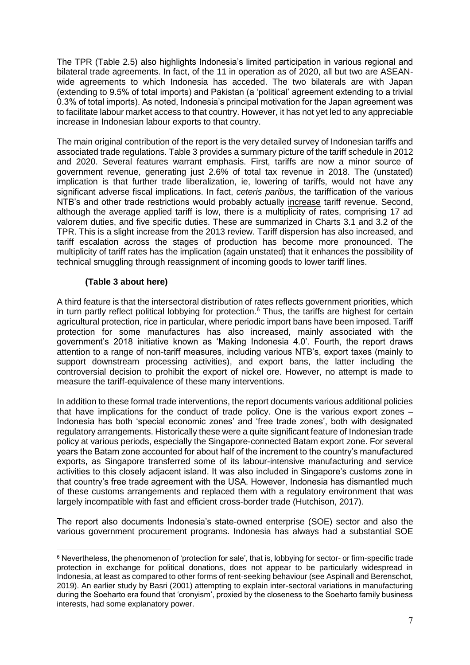The TPR (Table 2.5) also highlights Indonesia's limited participation in various regional and bilateral trade agreements. In fact, of the 11 in operation as of 2020, all but two are ASEANwide agreements to which Indonesia has acceded. The two bilaterals are with Japan (extending to 9.5% of total imports) and Pakistan (a 'political' agreement extending to a trivial 0.3% of total imports). As noted, Indonesia's principal motivation for the Japan agreement was to facilitate labour market access to that country. However, it has not yet led to any appreciable increase in Indonesian labour exports to that country.

The main original contribution of the report is the very detailed survey of Indonesian tariffs and associated trade regulations. Table 3 provides a summary picture of the tariff schedule in 2012 and 2020. Several features warrant emphasis. First, tariffs are now a minor source of government revenue, generating just 2.6% of total tax revenue in 2018. The (unstated) implication is that further trade liberalization, ie, lowering of tariffs, would not have any significant adverse fiscal implications. In fact, *ceteris paribus*, the tariffication of the various NTB's and other trade restrictions would probably actually increase tariff revenue. Second, although the average applied tariff is low, there is a multiplicity of rates, comprising 17 ad valorem duties, and five specific duties. These are summarized in Charts 3.1 and 3.2 of the TPR. This is a slight increase from the 2013 review. Tariff dispersion has also increased, and tariff escalation across the stages of production has become more pronounced. The multiplicity of tariff rates has the implication (again unstated) that it enhances the possibility of technical smuggling through reassignment of incoming goods to lower tariff lines.

#### **(Table 3 about here)**

1

A third feature is that the intersectoral distribution of rates reflects government priorities, which in turn partly reflect political lobbying for protection.<sup>6</sup> Thus, the tariffs are highest for certain agricultural protection, rice in particular, where periodic import bans have been imposed. Tariff protection for some manufactures has also increased, mainly associated with the government's 2018 initiative known as 'Making Indonesia 4.0'. Fourth, the report draws attention to a range of non-tariff measures, including various NTB's, export taxes (mainly to support downstream processing activities), and export bans, the latter including the controversial decision to prohibit the export of nickel ore. However, no attempt is made to measure the tariff-equivalence of these many interventions.

In addition to these formal trade interventions, the report documents various additional policies that have implications for the conduct of trade policy. One is the various export zones – Indonesia has both 'special economic zones' and 'free trade zones', both with designated regulatory arrangements. Historically these were a quite significant feature of Indonesian trade policy at various periods, especially the Singapore-connected Batam export zone. For several years the Batam zone accounted for about half of the increment to the country's manufactured exports, as Singapore transferred some of its labour-intensive manufacturing and service activities to this closely adjacent island. It was also included in Singapore's customs zone in that country's free trade agreement with the USA. However, Indonesia has dismantled much of these customs arrangements and replaced them with a regulatory environment that was largely incompatible with fast and efficient cross-border trade (Hutchison, 2017).

The report also documents Indonesia's state-owned enterprise (SOE) sector and also the various government procurement programs. Indonesia has always had a substantial SOE

<sup>6</sup> Nevertheless, the phenomenon of 'protection for sale', that is, lobbying for sector- or firm-specific trade protection in exchange for political donations, does not appear to be particularly widespread in Indonesia, at least as compared to other forms of rent-seeking behaviour (see Aspinall and Berenschot, 2019). An earlier study by Basri (2001) attempting to explain inter-sectoral variations in manufacturing during the Soeharto era found that 'cronyism', proxied by the closeness to the Soeharto family business interests, had some explanatory power.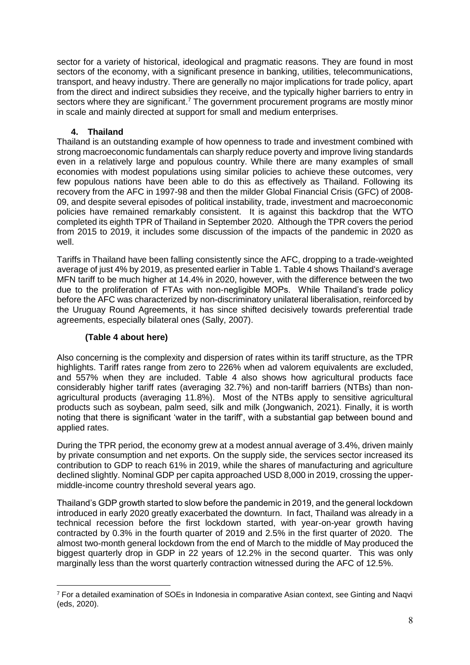sector for a variety of historical, ideological and pragmatic reasons. They are found in most sectors of the economy, with a significant presence in banking, utilities, telecommunications, transport, and heavy industry. There are generally no major implications for trade policy, apart from the direct and indirect subsidies they receive, and the typically higher barriers to entry in sectors where they are significant.<sup>7</sup> The government procurement programs are mostly minor in scale and mainly directed at support for small and medium enterprises.

## **4. Thailand**

Thailand is an outstanding example of how openness to trade and investment combined with strong macroeconomic fundamentals can sharply reduce poverty and improve living standards even in a relatively large and populous country. While there are many examples of small economies with modest populations using similar policies to achieve these outcomes, very few populous nations have been able to do this as effectively as Thailand. Following its recovery from the AFC in 1997-98 and then the milder Global Financial Crisis (GFC) of 2008- 09, and despite several episodes of political instability, trade, investment and macroeconomic policies have remained remarkably consistent. It is against this backdrop that the WTO completed its eighth TPR of Thailand in September 2020. Although the TPR covers the period from 2015 to 2019, it includes some discussion of the impacts of the pandemic in 2020 as well.

Tariffs in Thailand have been falling consistently since the AFC, dropping to a trade-weighted average of just 4% by 2019, as presented earlier in Table 1. Table 4 shows Thailand's average MFN tariff to be much higher at 14.4% in 2020, however, with the difference between the two due to the proliferation of FTAs with non-negligible MOPs. While Thailand's trade policy before the AFC was characterized by non-discriminatory unilateral liberalisation, reinforced by the Uruguay Round Agreements, it has since shifted decisively towards preferential trade agreements, especially bilateral ones (Sally, 2007).

### **(Table 4 about here)**

1

Also concerning is the complexity and dispersion of rates within its tariff structure, as the TPR highlights. Tariff rates range from zero to 226% when ad valorem equivalents are excluded, and 557% when they are included. Table 4 also shows how agricultural products face considerably higher tariff rates (averaging 32.7%) and non-tariff barriers (NTBs) than nonagricultural products (averaging 11.8%). Most of the NTBs apply to sensitive agricultural products such as soybean, palm seed, silk and milk (Jongwanich, 2021). Finally, it is worth noting that there is significant 'water in the tariff', with a substantial gap between bound and applied rates.

During the TPR period, the economy grew at a modest annual average of 3.4%, driven mainly by private consumption and net exports. On the supply side, the services sector increased its contribution to GDP to reach 61% in 2019, while the shares of manufacturing and agriculture declined slightly. Nominal GDP per capita approached USD 8,000 in 2019, crossing the uppermiddle-income country threshold several years ago.

Thailand's GDP growth started to slow before the pandemic in 2019, and the general lockdown introduced in early 2020 greatly exacerbated the downturn. In fact, Thailand was already in a technical recession before the first lockdown started, with year-on-year growth having contracted by 0.3% in the fourth quarter of 2019 and 2.5% in the first quarter of 2020. The almost two-month general lockdown from the end of March to the middle of May produced the biggest quarterly drop in GDP in 22 years of 12.2% in the second quarter. This was only marginally less than the worst quarterly contraction witnessed during the AFC of 12.5%.

<sup>7</sup> For a detailed examination of SOEs in Indonesia in comparative Asian context, see Ginting and Naqvi (eds, 2020).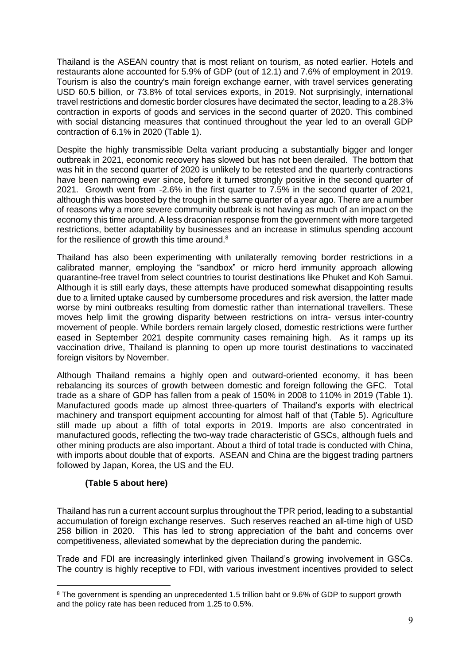Thailand is the ASEAN country that is most reliant on tourism, as noted earlier. Hotels and restaurants alone accounted for 5.9% of GDP (out of 12.1) and 7.6% of employment in 2019. Tourism is also the country's main foreign exchange earner, with travel services generating USD 60.5 billion, or 73.8% of total services exports, in 2019. Not surprisingly, international travel restrictions and domestic border closures have decimated the sector, leading to a 28.3% contraction in exports of goods and services in the second quarter of 2020. This combined with social distancing measures that continued throughout the year led to an overall GDP contraction of 6.1% in 2020 (Table 1).

Despite the highly transmissible Delta variant producing a substantially bigger and longer outbreak in 2021, economic recovery has slowed but has not been derailed. The bottom that was hit in the second quarter of 2020 is unlikely to be retested and the quarterly contractions have been narrowing ever since, before it turned strongly positive in the second quarter of 2021. Growth went from -2.6% in the first quarter to 7.5% in the second quarter of 2021, although this was boosted by the trough in the same quarter of a year ago. There are a number of reasons why a more severe community outbreak is not having as much of an impact on the economy this time around. A less draconian response from the government with more targeted restrictions, better adaptability by businesses and an increase in stimulus spending account for the resilience of growth this time around. $8$ 

Thailand has also been experimenting with unilaterally removing border restrictions in a calibrated manner, employing the "sandbox" or micro herd immunity approach allowing quarantine-free travel from select countries to tourist destinations like Phuket and Koh Samui. Although it is still early days, these attempts have produced somewhat disappointing results due to a limited uptake caused by cumbersome procedures and risk aversion, the latter made worse by mini outbreaks resulting from domestic rather than international travellers. These moves help limit the growing disparity between restrictions on intra- versus inter-country movement of people. While borders remain largely closed, domestic restrictions were further eased in September 2021 despite community cases remaining high. As it ramps up its vaccination drive, Thailand is planning to open up more tourist destinations to vaccinated foreign visitors by November.

Although Thailand remains a highly open and outward-oriented economy, it has been rebalancing its sources of growth between domestic and foreign following the GFC. Total trade as a share of GDP has fallen from a peak of 150% in 2008 to 110% in 2019 (Table 1). Manufactured goods made up almost three-quarters of Thailand's exports with electrical machinery and transport equipment accounting for almost half of that (Table 5). Agriculture still made up about a fifth of total exports in 2019. Imports are also concentrated in manufactured goods, reflecting the two-way trade characteristic of GSCs, although fuels and other mining products are also important. About a third of total trade is conducted with China, with imports about double that of exports. ASEAN and China are the biggest trading partners followed by Japan, Korea, the US and the EU.

#### **(Table 5 about here)**

1

Thailand has run a current account surplus throughout the TPR period, leading to a substantial accumulation of foreign exchange reserves. Such reserves reached an all-time high of USD 258 billion in 2020. This has led to strong appreciation of the baht and concerns over competitiveness, alleviated somewhat by the depreciation during the pandemic.

Trade and FDI are increasingly interlinked given Thailand's growing involvement in GSCs. The country is highly receptive to FDI, with various investment incentives provided to select

<sup>8</sup> The government is spending an unprecedented 1.5 trillion baht or 9.6% of GDP to support growth and the policy rate has been reduced from 1.25 to 0.5%.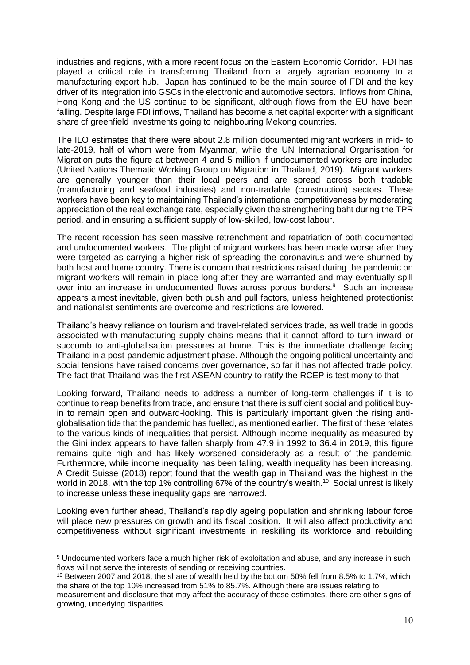industries and regions, with a more recent focus on the Eastern Economic Corridor. FDI has played a critical role in transforming Thailand from a largely agrarian economy to a manufacturing export hub. Japan has continued to be the main source of FDI and the key driver of its integration into GSCs in the electronic and automotive sectors. Inflows from China, Hong Kong and the US continue to be significant, although flows from the EU have been falling. Despite large FDI inflows, Thailand has become a net capital exporter with a significant share of greenfield investments going to neighbouring Mekong countries.

The ILO estimates that there were about 2.8 million documented migrant workers in mid- to late-2019, half of whom were from Myanmar, while the UN International Organisation for Migration puts the figure at between 4 and 5 million if undocumented workers are included (United Nations Thematic Working Group on Migration in Thailand, 2019). Migrant workers are generally younger than their local peers and are spread across both tradable (manufacturing and seafood industries) and non-tradable (construction) sectors. These workers have been key to maintaining Thailand's international competitiveness by moderating appreciation of the real exchange rate, especially given the strengthening baht during the TPR period, and in ensuring a sufficient supply of low-skilled, low-cost labour.

The recent recession has seen massive retrenchment and repatriation of both documented and undocumented workers. The plight of migrant workers has been made worse after they were targeted as carrying a higher risk of spreading the coronavirus and were shunned by both host and home country. There is concern that restrictions raised during the pandemic on migrant workers will remain in place long after they are warranted and may eventually spill over into an increase in undocumented flows across porous borders.<sup>9</sup> Such an increase appears almost inevitable, given both push and pull factors, unless heightened protectionist and nationalist sentiments are overcome and restrictions are lowered.

Thailand's heavy reliance on tourism and travel-related services trade, as well trade in goods associated with manufacturing supply chains means that it cannot afford to turn inward or succumb to anti-globalisation pressures at home. This is the immediate challenge facing Thailand in a post-pandemic adjustment phase. Although the ongoing political uncertainty and social tensions have raised concerns over governance, so far it has not affected trade policy. The fact that Thailand was the first ASEAN country to ratify the RCEP is testimony to that.

Looking forward, Thailand needs to address a number of long-term challenges if it is to continue to reap benefits from trade, and ensure that there is sufficient social and political buyin to remain open and outward-looking. This is particularly important given the rising antiglobalisation tide that the pandemic has fuelled, as mentioned earlier. The first of these relates to the various kinds of inequalities that persist. Although income inequality as measured by the Gini index appears to have fallen sharply from 47.9 in 1992 to 36.4 in 2019, this figure remains quite high and has likely worsened considerably as a result of the pandemic. Furthermore, while income inequality has been falling, wealth inequality has been increasing. A Credit Suisse (2018) report found that the wealth gap in Thailand was the highest in the world in 2018, with the top 1% controlling 67% of the country's wealth.<sup>10</sup> Social unrest is likely to increase unless these inequality gaps are narrowed.

Looking even further ahead, Thailand's rapidly ageing population and shrinking labour force will place new pressures on growth and its fiscal position. It will also affect productivity and competitiveness without significant investments in reskilling its workforce and rebuilding

1

<sup>9</sup> Undocumented workers face a much higher risk of exploitation and abuse, and any increase in such flows will not serve the interests of sending or receiving countries.

<sup>&</sup>lt;sup>10</sup> Between 2007 and 2018, the share of wealth held by the bottom 50% fell from 8.5% to 1.7%, which the share of the top 10% increased from 51% to 85.7%. Although there are issues relating to

measurement and disclosure that may affect the accuracy of these estimates, there are other signs of growing, underlying disparities.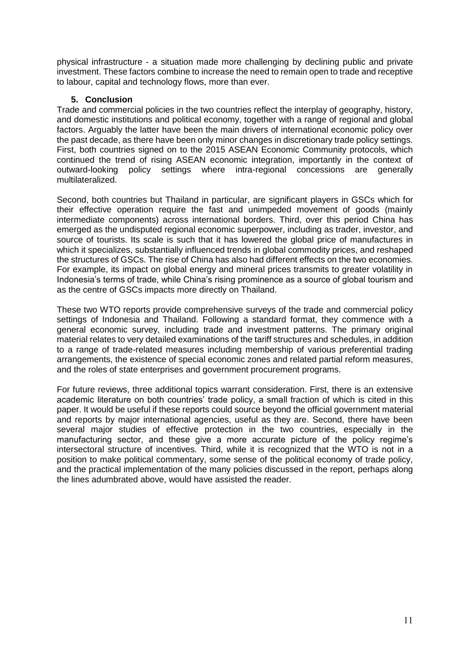physical infrastructure - a situation made more challenging by declining public and private investment. These factors combine to increase the need to remain open to trade and receptive to labour, capital and technology flows, more than ever.

#### **5. Conclusion**

Trade and commercial policies in the two countries reflect the interplay of geography, history, and domestic institutions and political economy, together with a range of regional and global factors. Arguably the latter have been the main drivers of international economic policy over the past decade, as there have been only minor changes in discretionary trade policy settings. First, both countries signed on to the 2015 ASEAN Economic Community protocols, which continued the trend of rising ASEAN economic integration, importantly in the context of outward-looking policy settings where intra-regional concessions are generally multilateralized.

Second, both countries but Thailand in particular, are significant players in GSCs which for their effective operation require the fast and unimpeded movement of goods (mainly intermediate components) across international borders. Third, over this period China has emerged as the undisputed regional economic superpower, including as trader, investor, and source of tourists. Its scale is such that it has lowered the global price of manufactures in which it specializes, substantially influenced trends in global commodity prices, and reshaped the structures of GSCs. The rise of China has also had different effects on the two economies. For example, its impact on global energy and mineral prices transmits to greater volatility in Indonesia's terms of trade, while China's rising prominence as a source of global tourism and as the centre of GSCs impacts more directly on Thailand.

These two WTO reports provide comprehensive surveys of the trade and commercial policy settings of Indonesia and Thailand. Following a standard format, they commence with a general economic survey, including trade and investment patterns. The primary original material relates to very detailed examinations of the tariff structures and schedules, in addition to a range of trade-related measures including membership of various preferential trading arrangements, the existence of special economic zones and related partial reform measures, and the roles of state enterprises and government procurement programs.

For future reviews, three additional topics warrant consideration. First, there is an extensive academic literature on both countries' trade policy, a small fraction of which is cited in this paper. It would be useful if these reports could source beyond the official government material and reports by major international agencies, useful as they are. Second, there have been several major studies of effective protection in the two countries, especially in the manufacturing sector, and these give a more accurate picture of the policy regime's intersectoral structure of incentives. Third, while it is recognized that the WTO is not in a position to make political commentary, some sense of the political economy of trade policy, and the practical implementation of the many policies discussed in the report, perhaps along the lines adumbrated above, would have assisted the reader.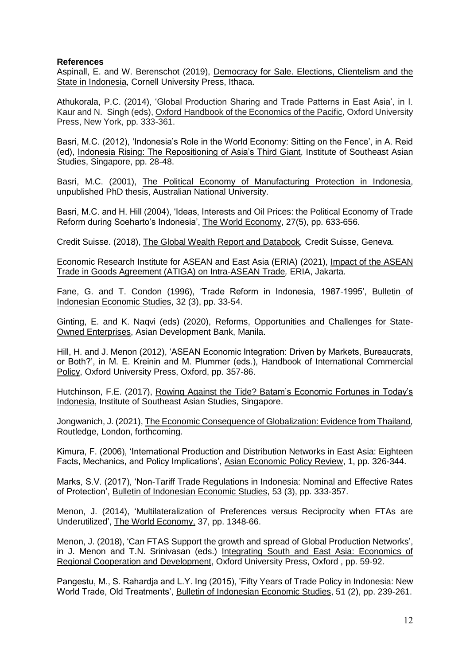#### **References**

Aspinall, E. and W. Berenschot (2019), Democracy for Sale. Elections, Clientelism and the State in Indonesia, Cornell University Press, Ithaca.

Athukorala, P.C. (2014), 'Global Production Sharing and Trade Patterns in East Asia', in I. Kaur and N. Singh (eds), Oxford Handbook of the Economics of the Pacific, Oxford University Press, New York, pp. 333-361.

Basri, M.C. (2012), 'Indonesia's Role in the World Economy: Sitting on the Fence', in A. Reid (ed), Indonesia Rising: The Repositioning of Asia's Third Giant, Institute of Southeast Asian Studies, Singapore, pp. 28-48.

Basri, M.C. (2001), The Political Economy of Manufacturing Protection in Indonesia, unpublished PhD thesis, Australian National University.

Basri, M.C. and H. Hill (2004), 'Ideas, Interests and Oil Prices: the Political Economy of Trade Reform during Soeharto's Indonesia', The World Economy, 27(5), pp. 633-656.

Credit Suisse. (2018), The Global Wealth Report and Databook*,* Credit Suisse, Geneva.

Economic Research Institute for ASEAN and East Asia (ERIA) (2021), Impact of the ASEAN Trade in Goods Agreement (ATIGA) on Intra-ASEAN Trade*,* ERIA, Jakarta.

Fane, G. and T. Condon (1996), 'Trade Reform in Indonesia, 1987-1995', Bulletin of Indonesian Economic Studies, 32 (3), pp. 33-54.

Ginting, E. and K. Naqvi (eds) (2020), Reforms, Opportunities and Challenges for State-Owned Enterprises, Asian Development Bank, Manila.

Hill, H. and J. Menon (2012), 'ASEAN Economic Integration: Driven by Markets, Bureaucrats, or Both?', in M. E. Kreinin and M. Plummer (eds.), Handbook of International Commercial Policy, Oxford University Press, Oxford, pp. 357-86.

Hutchinson, F.E. (2017), Rowing Against the Tide? Batam's Economic Fortunes in Today's Indonesia, Institute of Southeast Asian Studies, Singapore.

Jongwanich, J. (2021), The Economic Consequence of Globalization: Evidence from Thailand*,* Routledge, London, forthcoming.

Kimura, F. (2006), 'International Production and Distribution Networks in East Asia: Eighteen Facts, Mechanics, and Policy Implications', Asian Economic Policy Review, 1, pp. 326-344.

Marks, S.V. (2017), 'Non-Tariff Trade Regulations in Indonesia: Nominal and Effective Rates of Protection', Bulletin of Indonesian Economic Studies, 53 (3), pp. 333-357.

Menon, J. (2014), 'Multilateralization of Preferences versus Reciprocity when FTAs are Underutilized', The World Economy, 37, pp. 1348-66.

Menon, J. (2018), 'Can FTAS Support the growth and spread of Global Production Networks', in J. Menon and T.N. Srinivasan (eds.) Integrating South and East Asia: Economics of Regional Cooperation and Development, Oxford University Press, Oxford , pp. 59-92.

Pangestu, M., S. Rahardja and L.Y. Ing (2015), 'Fifty Years of Trade Policy in Indonesia: New World Trade, Old Treatments', Bulletin of Indonesian Economic Studies, 51 (2), pp. 239-261.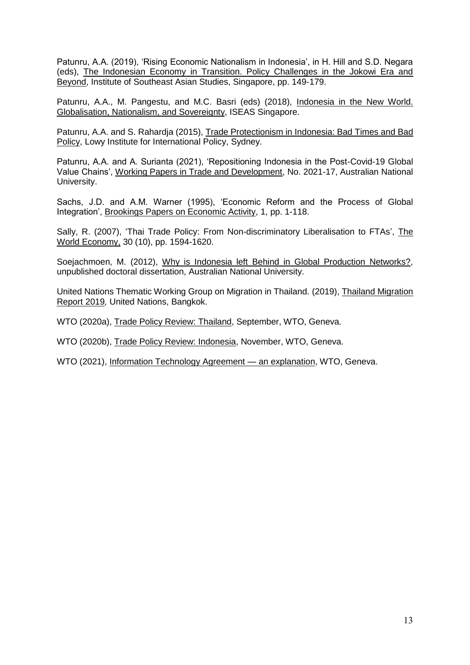Patunru, A.A. (2019), 'Rising Economic Nationalism in Indonesia', in H. Hill and S.D. Negara (eds), The Indonesian Economy in Transition. Policy Challenges in the Jokowi Era and Beyond, Institute of Southeast Asian Studies, Singapore, pp. 149-179.

Patunru, A.A., M. Pangestu, and M.C. Basri (eds) (2018), Indonesia in the New World. Globalisation, Nationalism, and Sovereignty, ISEAS Singapore.

Patunru, A.A. and S. Rahardja (2015), Trade Protectionism in Indonesia: Bad Times and Bad Policy, Lowy Institute for International Policy, Sydney.

Patunru, A.A. and A. Surianta (2021), 'Repositioning Indonesia in the Post-Covid-19 Global Value Chains', Working Papers in Trade and Development, No. 2021-17, Australian National University.

Sachs, J.D. and A.M. Warner (1995), 'Economic Reform and the Process of Global Integration', Brookings Papers on Economic Activity, 1, pp. 1-118.

Sally, R. (2007), 'Thai Trade Policy: From Non-discriminatory Liberalisation to FTAs', The World Economy, 30 (10), pp. 1594-1620.

Soejachmoen, M. (2012), Why is Indonesia left Behind in Global Production Networks?, unpublished doctoral dissertation, Australian National University.

United Nations Thematic Working Group on Migration in Thailand. (2019), Thailand Migration Report 2019*,* United Nations, Bangkok.

WTO (2020a), Trade Policy Review: Thailand, September, WTO, Geneva.

WTO (2020b), Trade Policy Review: Indonesia, November, WTO, Geneva.

WTO (2021), Information Technology Agreement — an explanation, WTO, Geneva.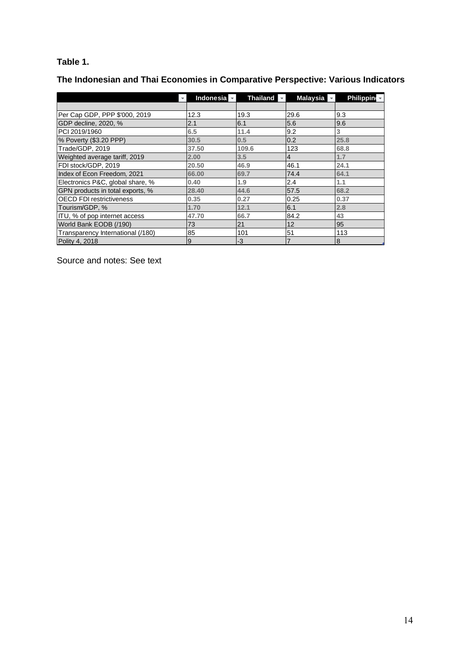## **Table 1.**

**The Indonesian and Thai Economies in Comparative Perspective: Various Indicators**

|                                   | <b>Indonesia</b> | <b>Thailand</b> | Malaysia       | <b>Philippin</b> |
|-----------------------------------|------------------|-----------------|----------------|------------------|
|                                   |                  |                 |                |                  |
| Per Cap GDP, PPP \$'000, 2019     | 12.3             | 19.3            | 29.6           | 9.3              |
| GDP decline, 2020, %              | 2.1              | 6.1             | 5.6            | 9.6              |
| PCI 2019/1960                     | 6.5              | 11.4            | 9.2            | 3                |
| % Poverty (\$3.20 PPP)            | 30.5             | 0.5             | 0.2            | 25.8             |
| Trade/GDP, 2019                   | 37.50            | 109.6           | 123            | 68.8             |
| Weighted average tariff, 2019     | 2.00             | 3.5             | 4              | 1.7              |
| FDI stock/GDP, 2019               | 20.50            | 46.9            | 46.1           | 24.1             |
| Index of Econ Freedom, 2021       | 66.00            | 69.7            | 74.4           | 64.1             |
| Electronics P&C, global share, %  | 0.40             | 1.9             | 2.4            | 1.1              |
| GPN products in total exports, %  | 28.40            | 44.6            | 57.5           | 68.2             |
| <b>OECD FDI restrictiveness</b>   | 0.35             | 0.27            | 0.25           | 0.37             |
| Tourism/GDP, %                    | 1.70             | 12.1            | 6.1            | 2.8              |
| ITU, % of pop internet access     | 47.70            | 66.7            | 84.2           | 43               |
| World Bank EODB (/190)            | 73               | 21              | 12             | 95               |
| Transparency International (/180) | 85               | 101             | 51             | 113              |
| Polity 4, 2018                    | 9                | -3              | $\overline{7}$ | 8                |

Source and notes: See text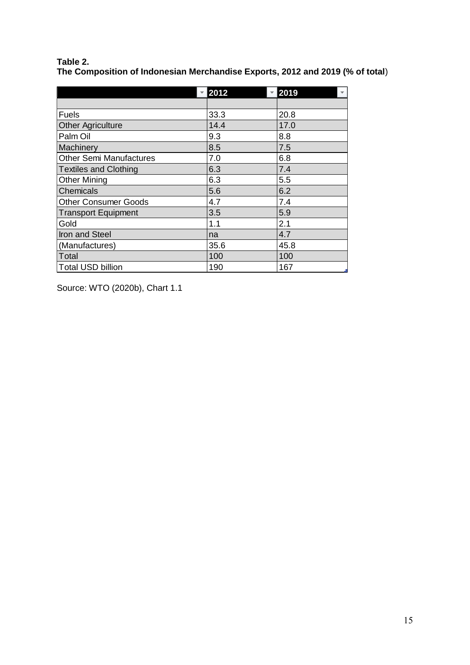#### **Table 2.**

**The Composition of Indonesian Merchandise Exports, 2012 and 2019 (% of total**)

|                                | 2012 | 2019 |
|--------------------------------|------|------|
|                                |      |      |
| <b>Fuels</b>                   | 33.3 | 20.8 |
| <b>Other Agriculture</b>       | 14.4 | 17.0 |
| Palm Oil                       | 9.3  | 8.8  |
| Machinery                      | 8.5  | 7.5  |
| <b>Other Semi Manufactures</b> | 7.0  | 6.8  |
| <b>Textiles and Clothing</b>   | 6.3  | 7.4  |
| <b>Other Mining</b>            | 6.3  | 5.5  |
| <b>Chemicals</b>               | 5.6  | 6.2  |
| <b>Other Consumer Goods</b>    | 4.7  | 7.4  |
| <b>Transport Equipment</b>     | 3.5  | 5.9  |
| Gold                           | 1.1  | 2.1  |
| Iron and Steel                 | na   | 4.7  |
| (Manufactures)                 | 35.6 | 45.8 |
| Total                          | 100  | 100  |
| <b>Total USD billion</b>       | 190  | 167  |

Source: WTO (2020b), Chart 1.1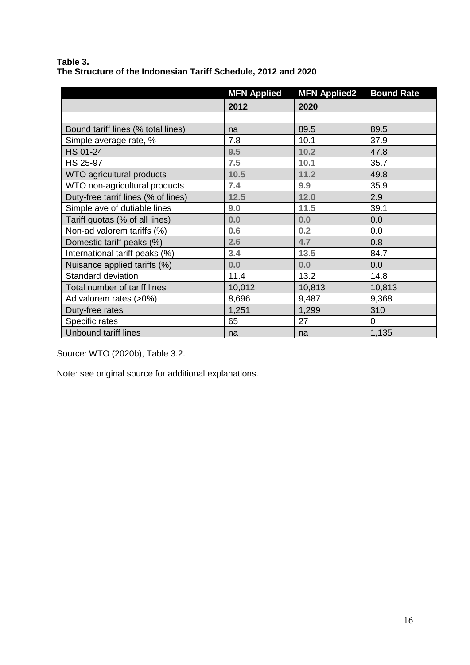|                                     | <b>MFN Applied</b> | <b>MFN Applied2</b> | <b>Bound Rate</b> |
|-------------------------------------|--------------------|---------------------|-------------------|
|                                     | 2012               | 2020                |                   |
|                                     |                    |                     |                   |
| Bound tariff lines (% total lines)  | na                 | 89.5                | 89.5              |
| Simple average rate, %              | 7.8                | 10.1                | 37.9              |
| <b>HS 01-24</b>                     | 9.5                | 10.2                | 47.8              |
| <b>HS 25-97</b>                     | 7.5                | 10.1                | 35.7              |
| WTO agricultural products           | 10.5               | 11.2                | 49.8              |
| WTO non-agricultural products       | 7.4                | 9.9                 | 35.9              |
| Duty-free tarrif lines (% of lines) | 12.5               | 12.0                | 2.9               |
| Simple ave of dutiable lines        | 9.0                | 11.5                | 39.1              |
| Tariff quotas (% of all lines)      | 0.0                | 0.0                 | 0.0               |
| Non-ad valorem tariffs (%)          | 0.6                | 0.2                 | 0.0               |
| Domestic tariff peaks (%)           | 2.6                | 4.7                 | 0.8               |
| International tariff peaks (%)      | 3.4                | 13.5                | 84.7              |
| Nuisance applied tariffs (%)        | 0.0                | 0.0                 | 0.0               |
| Standard deviation                  | 11.4               | 13.2                | 14.8              |
| Total number of tariff lines        | 10,012             | 10,813              | 10,813            |
| Ad valorem rates (>0%)              | 8,696              | 9,487               | 9,368             |
| Duty-free rates                     | 1,251              | 1,299               | 310               |
| Specific rates                      | 65                 | 27                  | $\mathbf 0$       |
| Unbound tariff lines                | na                 | na                  | 1,135             |

**Table 3. The Structure of the Indonesian Tariff Schedule, 2012 and 2020**

Source: WTO (2020b), Table 3.2.

Note: see original source for additional explanations.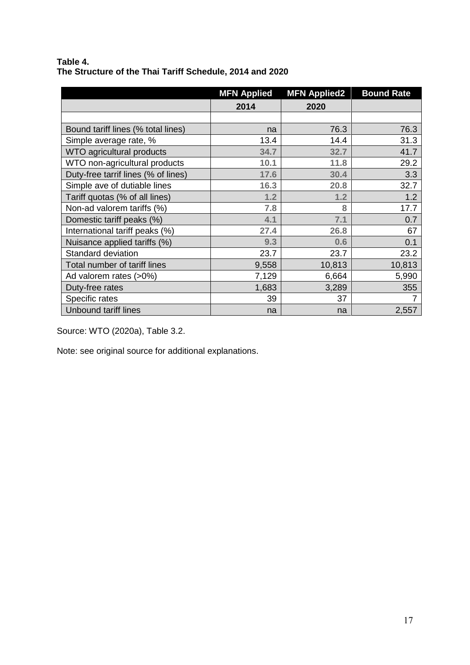#### **Table 4. The Structure of the Thai Tariff Schedule, 2014 and 2020**

|                                     | <b>MFN Applied</b> | <b>MFN Applied2</b> | <b>Bound Rate</b> |
|-------------------------------------|--------------------|---------------------|-------------------|
|                                     | 2014               | 2020                |                   |
|                                     |                    |                     |                   |
| Bound tariff lines (% total lines)  | na                 | 76.3                | 76.3              |
| Simple average rate, %              | 13.4               | 14.4                | 31.3              |
| WTO agricultural products           | 34.7               | 32.7                | 41.7              |
| WTO non-agricultural products       | 10.1               | 11.8                | 29.2              |
| Duty-free tarrif lines (% of lines) | 17.6               | 30.4                | 3.3               |
| Simple ave of dutiable lines        | 16.3               | 20.8                | 32.7              |
| Tariff quotas (% of all lines)      | 1.2                | 1.2                 | 1.2               |
| Non-ad valorem tariffs (%)          | 7.8                | 8                   | 17.7              |
| Domestic tariff peaks (%)           | 4.1                | 7.1                 | 0.7               |
| International tariff peaks (%)      | 27.4               | 26.8                | 67                |
| Nuisance applied tariffs (%)        | 9.3                | 0.6                 | 0.1               |
| Standard deviation                  | 23.7               | 23.7                | 23.2              |
| Total number of tariff lines        | 9,558              | 10,813              | 10,813            |
| Ad valorem rates (>0%)              | 7,129              | 6,664               | 5,990             |
| Duty-free rates                     | 1,683              | 3,289               | 355               |
| Specific rates                      | 39                 | 37                  |                   |
| <b>Unbound tariff lines</b>         | na                 | na                  | 2,557             |

Source: WTO (2020a), Table 3.2.

Note: see original source for additional explanations.